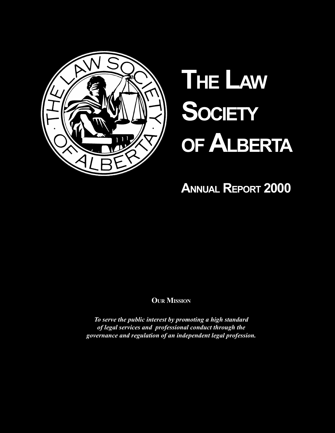

# **THE LAW SOCIETY OF ALBERTA**

**ANNUAL REPORT 2000**

**OUR MISSION**

*To serve the public interest by promoting a high standard of legal services and professional conduct through the governance and regulation of an independent legal profession.*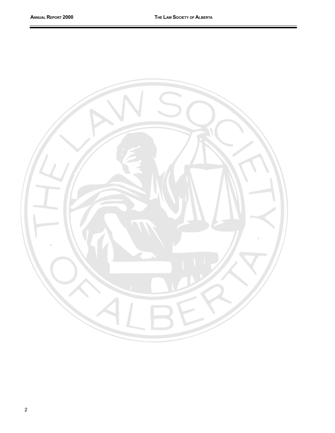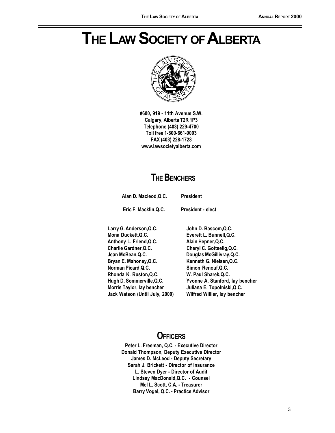### **THE LAW SOCIETY OF ALBERTA**



**#600, 919 - 11th Avenue S.W. Calgary, Alberta T2R 1P3 Telephone (403) 229-4700 Toll free 1-800-661-9003 FAX (403) 228-1728 www.lawsocietyalberta.com**

#### **THE BENCHERS**

| Alan D. Macleod, Q.C. | <b>President</b>         |
|-----------------------|--------------------------|
| Eric F. Macklin, Q.C. | <b>President - elect</b> |

**Larry G. Anderson,Q.C. John D. Bascom,Q.C. Mona Duckett,Q.C. Everett L. Bunnell,Q.C.** Anthony L. Friend, Q.C. Alain Hepner, Q.C. **Charlie Gardner,Q.C. Cheryl C. Gottselig,Q.C. Jean McBean,Q.C. Douglas McGillivray,Q.C. Bryan E. Mahoney,Q.C. Kenneth G. Nielsen,Q.C. Norman Picard,Q.C. Simon Renouf,Q.C. Rhonda K. Ruston,Q.C. W. Paul Sharek,Q.C. Morris Taylor, lay bencher Juliana E. Topolniski,Q.C. Jack Watson (Until July, 2000) Wilfred Willier, lay bencher**

**Hugh D. Sommerville,Q.C. Yvonne A. Stanford, lay bencher**

#### **OFFICERS**

**Peter L. Freeman, Q.C. - Executive Director Donald Thompson, Deputy Executive Director James D. McLeod - Deputy Secretary Sarah J. Brickett - Director of Insurance L. Steven Dyer - Director of Audit Lindsay MacDonald,Q.C. - Counsel Mel L. Scott, C.A. - Treasurer Barry Vogel, Q.C. - Practice Advisor**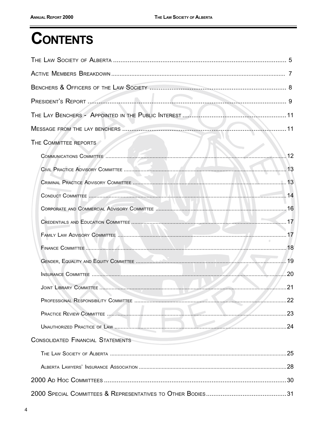### **CONTENTS**

| The ${\sf CommITEE}$ reports $\color{green} \diagup$ |    |
|------------------------------------------------------|----|
| COMMUNICATIONS COMMITTEE                             |    |
|                                                      |    |
|                                                      |    |
|                                                      |    |
|                                                      |    |
|                                                      |    |
|                                                      |    |
| FINANCE COMMITTEE                                    |    |
|                                                      |    |
|                                                      |    |
|                                                      |    |
|                                                      | 22 |
|                                                      |    |
|                                                      |    |
| <b>CONSOLIDATED FINANCIAL STATEMENTS</b>             |    |
|                                                      |    |
|                                                      |    |
|                                                      |    |
|                                                      |    |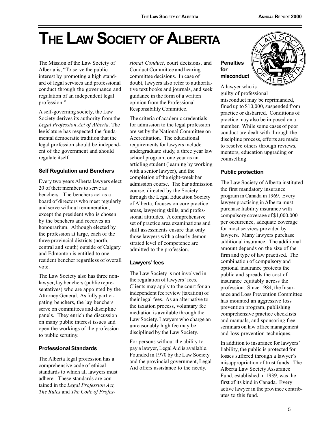# **THE LAW SOCIETY OF ALBERTA**

The Mission of the Law Society of Alberta is, "To serve the public interest by promoting a high standard of legal services and professional conduct through the governance and regulation of an independent legal profession."

A self-governing society, the Law Society derives its authority from the *Legal Profession Act of Alberta*. The legislature has respected the fundamental democratic tradition that the legal profession should be independent of the government and should regulate itself.

#### **Self Regulation and Benchers**

Every two years Alberta lawyers elect 20 of their members to serve as benchers. The benchers act as a board of directors who meet regularly and serve without remuneration, except the president who is chosen by the benchers and receives an honourarium. Although elected by the profession at large, each of the three provincial districts (north, central and south) outside of Calgary and Edmonton is entitled to one resident bencher regardless of overall vote.

The Law Society also has three nonlawyer, lay benchers (public representatives) who are appointed by the Attorney General. As fully participating benchers, the lay benchers serve on committees and discipline panels. They enrich the discussion on many public interest issues and open the workings of the profession to public scrutiny.

#### **Professional Standards**

The Alberta legal profession has a comprehensive code of ethical standards to which all lawyers must adhere. These standards are contained in the *Legal Profession Act, The Rules* and *The Code of Profes-* *sional Conduct*, court decisions, and Conduct Committee and hearing committee decisions. In case of doubt, lawyers also refer to authoritative text books and journals, and seek guidance in the form of a written opinion from the Professional Responsibility Committee.

The criteria of academic credentials for admission to the legal profession are set by the National Committee on Accreditation. The educational requirements for lawyers include undergraduate study, a three year law school program, one year as an articling student (learning by working with a senior lawyer), and the completion of the eight-week bar admission course. The bar admission course, directed by the Society through the Legal Education Society of Alberta, focuses on core practice areas, lawyering skills, and professional attitudes. A comprehensive set of practice area examinations and skill assessments ensure that only those lawyers with a clearly demonstrated level of competence are admitted to the profession.

#### **Lawyers' fees**

The Law Society is not involved in the regulation of lawyers' fees. Clients may apply to the court for an independent fee review (taxation) of their legal fees. As an alternative to the taxation process, voluntary fee mediation is available through the Law Society. Lawyers who charge an unreasonably high fee may be disciplined by the Law Society.

For persons without the ability to pay a lawyer, Legal Aid is available. Founded in 1970 by the Law Society and the provincial government, Legal Aid offers assistance to the needy.

#### **Penalties for misconduct**

A lawyer who is guilty of professional misconduct may be reprimanded, fined up to \$10,000, suspended from practice or disbarred. Conditions of practice may also be imposed on a member. While some cases of poor conduct are dealt with through the discipline process, efforts are made to resolve others through reviews, mentors, education upgrading or counselling.

#### **Public protection**

The Law Society of Alberta instituted the first mandatory insurance program in Canada in 1969. Every lawyer practising in Alberta must purchase liability insurance with compulsory coverage of \$1,000,000 per occurrence, adequate coverage for most services provided by lawyers. Many lawyers purchase additional insurance. The additional amount depends on the size of the firm and type of law practised. The combination of compulsory and optional insurance protects the public and spreads the cost of insurance equitably across the profession. Since 1984, the Insurance and Loss Prevention Committee has mounted an aggressive loss prevention program, publishing comprehensive practice checklists and manuals, and sponsoring free seminars on law office management and loss prevention techniques.

In addition to insurance for lawyers' liability, the public is protected for losses suffered through a lawyer's misappropriation of trust funds. The Alberta Law Society Assurance Fund, established in 1939, was the first of its kind in Canada. Every active lawyer in the province contributes to this fund.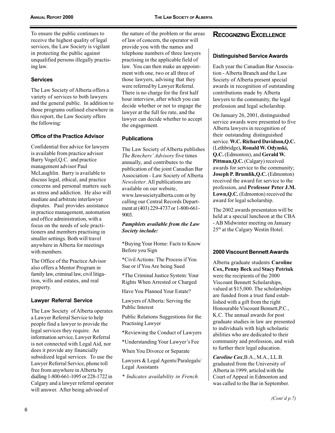#### **Services**

The Law Society of Alberta offers a variety of services to both lawyers and the general public. In addition to those programs outlined elsewhere in this report, the Law Society offers the following:

#### **Office of the Practice Advisor**

Confidential free advice for lawyers is available from practice advisor Barry Vogel,Q.C. and practice management advisor Paul McLaughlin. Barry is available to discuss legal, ethical, and practice concerns and personal matters such as stress and addiction. He also will mediate and arbitrate interlawyer disputes. Paul provides assistance in practice management, automation and office administration, with a focus on the needs of sole practitioners and members practising in smaller settings. Both will travel anywhere in Alberta for meetings with members.

The Office of the Practice Advisor also offers a Mentor Program in family law, criminal law, civil litigation, wills and estates, and real property.

#### **Lawyer Referral Service**

The Law Society of Alberta operates a Lawyer Referral Service to help people find a lawyer to provide the legal services they require. An information service, Lawyer Referral is not connected with Legal Aid, nor does it provide any financially subsidized legal services. To use the Lawyer Referral Service, phone toll free from anywhere in Alberta by dialling 1-800-661-1095 or 228-1722 in Calgary and a lawyer referral operator will answer. After being advised of

the nature of the problem or the areas of law of concern, the operator will provide you with the names and telephone numbers of three lawyers practising in the applicable field of

law. You can then make an appointment with one, two or all three of those lawyers, advising that they were referred by Lawyer Referral. There is no charge for the first half hour interview, after which you can decide whether or not to engage the lawyer at the full fee rate, and the lawyer can decide whether to accept the engagement.

#### **Publications**

The Law Society of Alberta publishes *The Benchers' Advisory* five times annually, and contributes to the publication of the joint Canadian Bar Association *-* Law Society of Alberta *Newsletter*. All publications are available on our website, www.lawsocietyalberta.com or by calling our Central Records Department at (403) 229-4737 or 1-800-661- 9003.

#### *Pamphlets available from the Law Society include:*

\*Buying Your Home: Facts to Know Before you Sign

\*Civil Actions: The Process if You Sue or if You Are being Sued

\*The Criminal Justice System: Your Rights When Arrested or Charged

Have You Planned Your Estate?

Lawyers of Alberta: Serving the Public Interest

Public Relations Suggestions for the Practising Lawyer

\*Reviewing the Conduct of Lawyers

\*Understanding Your Lawyer's Fee

When You Divorce or Separate

Lawyers & Legal Agents/Paralegals/ Legal Assistants

*\* Indicates availability in French.*

#### **RECOGNIZING EXCELLENCE**

#### **Distinguished Service Awards**

Each year the Canadian Bar Association - Alberta Branch and the Law Society of Alberta present special awards in recognition of outstanding contributions made by Alberta lawyers to the community, the legal profession and legal scholarship.

On January 26, 2001, distinguished service awards were presented to five Alberta lawyers in recognition of their outstanding distinguished service. **W.C. Richard Davidson,Q.C.** (Lethbridge)**, Ronald W. Odynski, Q.C.** (Edmonton), and **Gerald W. Pittman,Q.C.** (Calgary) received awards for service to the community; **Joseph P. Brumlik,Q.C.** (Edmonton) received the award for service to the profession, and **Professor Peter J.M.** Lown, Q.C. (Edmonton) received the award for legal scholarship.

The 2002 awards presentaton will be held at a special luncheon at the CBA - AB Midwinter meeting on January 25th at the Calgary Westin Hotel.

#### **2000 Viscount Bennett Awards**

Alberta graduate students **Caroline Cox, Penny Beck** and **Stacy Petriuk** were the recipients of the 2000 Viscount Bennett Scholarships, valued at \$15,000. The scholarships are funded from a trust fund established with a gift from the right Honourable Viscount Bennett,P.C., K.C. The annual awards for post graduate studies in law are presented to individuals with high scholastic abilities who are dedicated to their community and profession, and wish to further their legal education.

*Caroline Cox*,B.A., M.A., LL.B. graduated from the University of Alberta in 1999, articled with the Court of Appeal in Edmonton and was called to the Bar in September.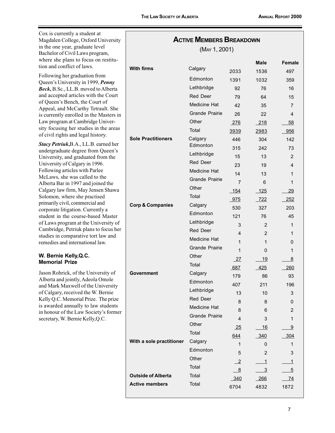| ient at<br>ford University<br>ate level<br>s program, | <b>ACTIVE MEMBERS BREAKDOWN</b><br>(MAY 1, 2001)   |                       |                 |                |                |
|-------------------------------------------------------|----------------------------------------------------|-----------------------|-----------------|----------------|----------------|
| cus on restitu-                                       |                                                    |                       |                 | <b>Male</b>    | Female         |
| VS.                                                   | <b>With firms</b>                                  | Calgary               | 2033            | 1536           | 497            |
| ion from<br>1999, Penny                               |                                                    | Edmonton              | 1391            | 1032           | 359            |
| ved to Alberta                                        |                                                    | Lethbridge            | 92              | 76             | 16             |
| with the Court                                        |                                                    | <b>Red Deer</b>       | 79              | 64             | 15             |
| Court of                                              |                                                    | Medicine Hat          | 42              | 35             | 7              |
| y Tetrault. She<br>n the Masters in                   |                                                    | <b>Grande Prairie</b> | 26              | 22             | $\overline{4}$ |
| ridge Univer-                                         |                                                    | Other                 | 276             | $-218$         | $-58$          |
| ies in the areas                                      |                                                    | Total                 | 3939            | 2983           | 956            |
| l history.                                            | <b>Sole Practitioners</b>                          | Calgary               | 446             | 304            | 142            |
| B. earned her<br>from Queen's                         |                                                    | Edmonton              | 315             | 242            | 73             |
| ated from the                                         |                                                    | Lethbridge            | 15              | 13             | $\overline{2}$ |
| in 1996.                                              |                                                    | <b>Red Deer</b>       | 23              | 19             | $\overline{4}$ |
| n Parlee<br>ed to the                                 |                                                    | Medicine Hat          | 14              | 13             | 1              |
| d joined the                                          |                                                    | <b>Grande Prairie</b> | 7               | 6              | 1              |
| Jensen Shawa                                          |                                                    | Other                 | 154             | 125            | 29             |
| ractised<br>rcial and                                 |                                                    | Total                 | 975             | 722            | 252            |
| urrently a                                            | <b>Corp &amp; Companies</b>                        | Calgary               | 530             | 327            | 203            |
| based Master                                          |                                                    | Edmonton              | 121             | 76             | 45             |
| e University of                                       |                                                    | Lethbridge            | 3               | 2              | 1              |
| ans to focus her<br>e tort law and                    |                                                    | <b>Red Deer</b>       | 4               | $\overline{2}$ | 1              |
| onal law.                                             |                                                    | Medicine Hat          | 1               | 1              | 0              |
|                                                       |                                                    | <b>Grande Prairie</b> | $\mathbf{1}$    | 0              | $\mathbf{1}$   |
|                                                       |                                                    | Other                 | 27              | 19             | 8              |
|                                                       |                                                    | Total                 | 687             | 425            | 260            |
| University of<br>leola Omole                          | <b>Government</b>                                  | Calgary               | 179             | 86             | 93             |
| the University                                        |                                                    | Edmonton              | 407             | 211            | 196            |
| e W. Bernie                                           |                                                    | Lethbridge            | 13              | 10             | 3              |
| rize. The prize<br>b law students                     |                                                    | Red Deer              | 8               | 8              | 0              |
| ociety's former                                       |                                                    | Medicine Hat          | 8               | 6              | 2              |
| elly, Q.C.                                            |                                                    | <b>Grande Prairie</b> | $\overline{4}$  | 3              | $\mathbf{1}$   |
|                                                       |                                                    | Other                 | 25              | 16             | 9              |
|                                                       |                                                    | Total                 | 644             | 340            | $-304$         |
|                                                       | With a sole practitioner                           | Calgary               | 1               | 0              | $\mathbf{1}$   |
|                                                       |                                                    | Edmonton              | 5               | $\overline{c}$ | 3              |
|                                                       |                                                    | Other                 | $\overline{-2}$ | 1              | $\overline{1}$ |
|                                                       |                                                    | Total                 | 8               | $\overline{3}$ | $\overline{5}$ |
|                                                       | <b>Outside of Alberta</b><br><b>Active members</b> | Total<br>Total        | $-340$          | $-266$         | 74             |
|                                                       |                                                    |                       | 6704            | 4832           | 1872           |

Cox is currently a stude Magdalen College, Oxford University in the one year, gradua Bachelor of Civil Laws where she plans to foc tion and conflict of law

Following her graduati Queen's University in  $Beck$ , B.Sc., LL.B. mov and accepted articles v of Queen's Bench, the Appeal, and McCarthy is currently enrolled in Law program at Cambr sity focusing her studi of civil rights and lega

 $Stacy Petriuk$ , B.A., LL. undergraduate degree University, and gradua University of Calgary i Following articles with McLaws, she was call Alberta Bar in 1997 and Calgary law firm, May Solomon, where she pr primarily civil, commer corporate litigation. Cu student in the courseof Laws program at the Cambridge, Petriuk pla studies in comparative remedies and international

#### **W. Bernie Kelly,Q.C. Memorial Prize**

Jason Rohrick, of the U Alberta and jointly, Ad and Mark Maxwell of of Calgary, received the Kelly Q.C. Memorial P is awarded annually to in honour of the Law S secretary, W. Bernie Ke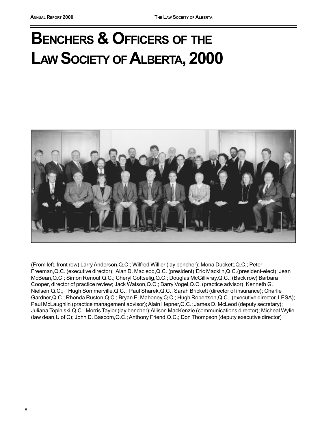# **BENCHERS & OFFICERS OF THE LAW SOCIETY OF ALBERTA, 2000**



(From left, front row) Larry Anderson,Q.C.; Wilfred Willier (lay bencher); Mona Duckett,Q.C.; Peter Freeman,Q.C. (executive director); Alan D. Macleod,Q.C. (president);Eric Macklin,Q.C.(president-elect); Jean McBean,Q.C.; Simon Renouf,Q.C.; Cheryl Gottselig,Q.C.; Douglas McGillivray,Q.C.; (Back row) Barbara Cooper, director of practice review; Jack Watson,Q.C.; Barry Vogel,Q.C. (practice advisor); Kenneth G. Nielsen,Q.C.; Hugh Sommerville,Q.C.; Paul Sharek,Q.C.; Sarah Brickett (director of insurance); Charlie Gardner,Q.C.; Rhonda Ruston,Q.C.; Bryan E. Mahoney,Q.C.; Hugh Robertson,Q.C., (executive director, LESA); Paul McLaughlin (practice management advisor); Alain Hepner,Q.C.; James D. McLeod (deputy secretary); Juliana Toplniski,Q.C., Morris Taylor (lay bencher);Allison MacKenzie (communications director); Micheal Wylie (law dean,U of C); John D. Bascom,Q.C.; Anthony Friend,Q.C.; Don Thompson (deputy executive director)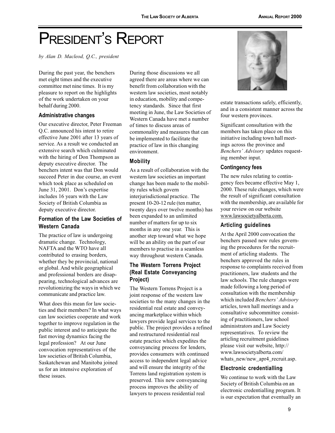# PRESIDENT'S REPORT

*by Alan D. Macleod, Q.C., president*

During the past year, the benchers met eight times and the executive committee met nine times. It is my pleasure to report on the highlights of the work undertaken on your behalf during 2000.

#### **Administrative changes**

Our executive director, Peter Freeman Q.C. announced his intent to retire effective June 2001 after 13 years of service. As a result we conducted an extensive search which culminated with the hiring of Don Thompson as deputy executive director. The benchers intent was that Don would succeed Peter in due course, an event which took place as scheduled on June 31, 2001. Don's expertise includes 16 years with the Law Society of British Columbia as deputy executive director.

#### **Formation of the Law Societies of Western Canada**

The practice of law is undergoing dramatic change. Technology, NAFTA and the WTO have all contributed to erasing borders, whether they be provincial, national or global. And while geographical and professional borders are disappearing, technological advances are revolutionizing the ways in which we communicate and practice law.

What does this mean for law societies and their members? In what ways can law societies cooperate and work together to improve regulation in the public interest and to anticipate the fast moving dynamics facing the legal profession? At our June convocation representatives of the law societies of British Columbia, Saskatchewan and Manitoba joined us for an intensive exploration of these issues.

During those discussions we all agreed there are areas where we can benefit from collaboration with the western law societies, most notably in education, mobility and competency standards. Since that first meeting in June, the Law Societies of Western Canada have met a number of times to discuss areas of commonality and measures that can be implemented to facilitate the practice of law in this changing environment.

#### **Mobility**

As a result of collaboration with the western law societies an important change has been made to the mobility rules which govern interjurisdictional practice. The present 10-20-12 rule (ten matter, twenty days over twelve months) has been expanded to an unlimited number of matters for up to six months in any one year. This is another step toward what we hope will be an ability on the part of our members to practise in a seamless way throughout western Canada.

#### **The Western Torrens Project (Real Estate Conveyancing Project)**

The Western Torrens Project is a joint response of the western law societies to the many changes in the residential real estate and conveyancing marketplace within which lawyers provide legal services to the public. The project provides a refined and restructured residential real estate practice which expedites the conveyancing process for lenders, provides consumers with continued access to independent legal advice and will ensure the integrity of the Torrens land registration system is preserved. This new conveyancing process improves the ability of lawyers to process residential real



estate transactions safely, efficiently, and in a consistent manner across the four western provinces.

Significant consultation with the members has taken place on this initiative including town hall meetings across the province and *Benchers' Advisory* updates requesting member input.

#### **Contingency fees**

The new rules relating to contingency fees became effective May 1, 2000. These rule changes, which were the result of significant consultation with the membership, are available for your review on our website www.lawsocietyalberta.com.

#### **Articling guidelines**

At the April 2000 convocation the benchers passed new rules governing the procedures for the recruitment of articling students. The benchers approved the rules in response to complaints received from practitioners, law students and the law schools. The rule changes were made following a long period of consultation with the membership which included *Benchers' Advisory* articles, town hall meetings and a consultative subcommittee consisting of practitioners, law school administrators and Law Society representatives. To review the articling recruitment guidelines please visit our website, http:// www.lawsocietyalberta.com/ whats new/new apr4 recruit.asp.

#### **Electronic credentialling**

We continue to work with the Law Society of British Columbia on an electronic credentialling program. It is our expectation that eventually an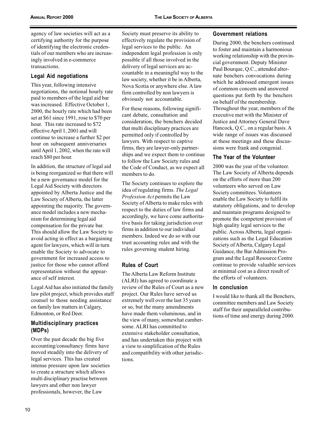#### **Legal Aid negotiations**

This year, following intensive negotiations, the notional hourly rate paid to members of the legal aid bar was increased. Effective October 1, 2000, the hourly rate which had been set at \$61 since 1991, rose to \$70 per hour. This rate increased to \$72 effective April 1, 2001 and will continue to increase a further \$2 per hour on subsequent anniversaries until April 1, 2002, when the rate will reach \$80 per hour.

In addition, the structure of legal aid is being reorganized so that there will be a new governance model for the Legal Aid Society with directors appointed by Alberta Justice and the Law Society of Alberta, the latter appointing the majority. The governance model includes a new mechanism for determining legal aid compensation for the private bar. This should allow the Law Society to avoid acting in effect as a bargaining agent for lawyers, which will in turn enable the Society to advocate to government for increased access to justice for those who cannot afford representation without the appearance of self interest.

Legal Aid has also initiated the family law pilot project, which provides staff counsel to those needing assistance on family law matters in Calgary, Edmonton, or Red Deer.

#### **Multidisciplinary practices (MDPs)**

Over the past decade the big five accounting/consultancy firms have moved steadily into the delivery of legal services. This has created intense pressure upon law societies to create a structure which allows multi disciplinary practise between lawyers and other non lawyer professionals, however, the Law

Society must preserve its ability to effectively regulate the provision of legal services to the public. An independent legal profession is only possible if all those involved in the delivery of legal services are accountable in a meaningful way to the law society, whether it be in Alberta, Nova Scotia or anywhere else. A law firm controlled by non lawyers is obviously not accountable.

For these reasons, following significant debate, consultation and consideration, the benchers decided that multi disciplinary practices are permitted only if controlled by lawyers. With respect to captive firms, they are lawyer-only partnerships and we expect them to continue to follow the Law Society rules and the Code of Conduct, as we expect all members to do.

The Society continues to explore the idea of regulating firms. *The Legal Profession Act* permits the Law Society of Alberta to make rules with respect to the duties of law firms and accordingly, we have come authoritative basis for taking jurisdiction over firms in addition to our individual members. Indeed we do so with our trust accounting rules and with the rules governing student hiring.

#### **Rules of Court**

The Alberta Law Reform Institute (ALRI) has agreed to coordinate a review of the Rules of Court as a new project. Our Rules have served us extremely well over the last 35 years or so, but the many amendments have made them voluminous, and in the view of many, somewhat cumbersome. ALRI has committed to extensive stakeholder consultation, and has undertaken this project with a view to simplification of the Rules and compatibility with other jurisdictions.

#### **Government relations**

During 2000, the benchers continued to foster and maintain a harmonious working relationship with the provincial government. Deputy Minister Paul Bourque, Q.C., attended alternate benchers convocations during which he addressed emergent issues of common concern and answered questions put forth by the benchers on behalf of the membership. Throughout the year, members of the executive met with the Minister of Justice and Attorney General Dave Hancock, Q.C., on a regular basis. A wide range of issues was discussed at these meetings and these discussions were frank and congenial.

#### **The Year of the Volunteer**

2000 was the year of the volunteer. The Law Society of Alberta depends on the efforts of more than 200 volunteers who served on Law Society committees. Volunteers enable the Law Society to fulfil its statutory obligations, and to develop and maintain programs designed to promote the competent provision of high quality legal services to the public. Across Alberta, legal organizations such as the Legal Education Society of Alberta, Calgary Legal Guidance, the Bar Admission Program and the Legal Resource Centre continue to provide valuable services at minimal cost as a direct result of the efforts of volunteers.

#### **In conclusion**

I would like to thank all the Benchers, committee members and Law Society staff for their unparalleled contributions of time and energy during 2000.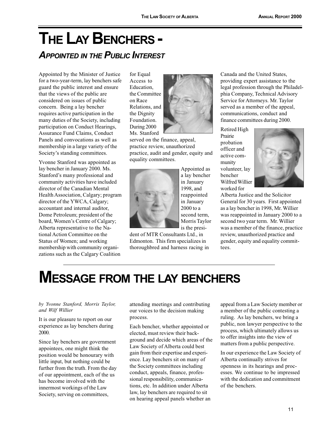### **THE LAY BENCHERS -** *APPOINTED IN THE PUBLIC INTEREST*

Appointed by the Minister of Justice for a two-year-term, lay benchers safe guard the public interest and ensure that the views of the public are considered on issues of public concern. Being a lay bencher requires active participation in the many duties of the Society, including participation on Conduct Hearings, Assurance Fund Claims, Conduct Panels and convocations as well as membership in a large variety of the Society's standing committees.

Yvonne Stanford was appointed as lay bencher in January 2000. Ms. Stanford's many professional and community activities have included director of the Canadian Mental Health Association, Calgary; program director of the YWCA, Calgary; accountant and internal auditor, Dome Petroleum; president of the board, Women's Centre of Calgary; Alberta representative to the National Action Committee on the Status of Women; and working membership with community organizations such as the Calgary Coalition

for Equal Access to Education, the Committee on Race Relations, and the Dignity Foundation. During 2000 Ms. Stanford



served on the finance, appeal, practice review, unauthorized practice, audit and gender, equity and equality committees.



Appointed as a lay bencher in January 1998, and reappointed in January 2000 to a second term, Morris Taylor is the presi-

dent of MTR Consultants Ltd., in Edmonton. This firm specializes in thoroughbred and harness racing in

Canada and the United States, providing expert assistance to the legal profession through the Philadelphia Company, Technical Advisory Service for Attorneys. Mr. Taylor served as a member of the appeal, communications, conduct and finance committees during 2000.

Retired High Prairie probation officer and active community volunteer, lay bencher Wilfred Willier worked for



Alberta Justice and the Solicitor General for 30 years. First appointed as a lay bencher in 1998, Mr. Willier was reappointed in January 2000 to a second two year term. Mr. Willier was a member of the finance, practice review, unauthorized practice and gender, equity and equality committees.

### **MESSAGE FROM THE LAY BENCHERS**

#### *by Yvonne Stanford, Morris Taylor, and Wilf Willier*

It is our pleasure to report on our experience as lay benchers during 2000.

Since lay benchers are government appointees, one might think the position would be honourary with little input, but nothing could be further from the truth. From the day of our appointment, each of the us has become involved with the innermost workings of the Law Society, serving on committees,

attending meetings and contributing our voices to the decision making process.

Each bencher, whether appointed or elected, must review their background and decide which areas of the Law Society of Alberta could best gain from their expertise and experience. Lay benchers sit on many of the Society committees including conduct, appeals, finance, professional responsibility, communications, etc. In addition under Alberta law, lay benchers are required to sit on hearing appeal panels whether an

appeal from a Law Society member or a member of the public contesting a ruling. As lay benchers, we bring a public, non lawyer perspective to the process, which ultimately allows us to offer insights into the view of matters from a public perspective.

In our experience the Law Society of Alberta continually strives for openness in its hearings and processes. We continue to be impressed with the dedication and commitment of the benchers.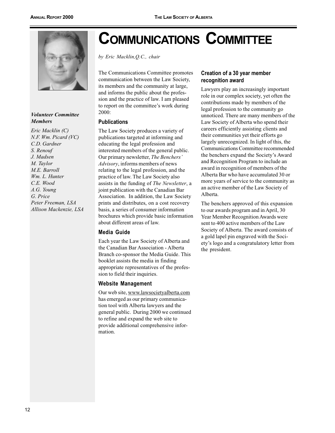

*Eric Macklin (C) N.F. Wm. Picard (VC) C.D. Gardner S. Renouf J. Madsen M. Taylor M.E. Barroll Wm. L. Hunter C.E. Wood A.G. Young G. Price Peter Freeman, LSA Allison Mackenzie, LSA*

### **COMMUNICATIONS COMMITTEE**

*by Eric Macklin,Q.C., chair*

The Communications Committee promotes communication between the Law Society, its members and the community at large, and informs the public about the profession and the practice of law. I am pleased to report on the committee's work during 2000:

#### **Publications**

The Law Society produces a variety of publications targeted at informing and educating the legal profession and interested members of the general public. Our primary newsletter, *The Benchers' Advisory*, informs members of news relating to the legal profession, and the practice of law. The Law Society also assists in the funding of *The Newsletter*, a joint publication with the Canadian Bar Association.In addition, the Law Society prints and distributes, on a cost recovery basis, a series of consumer information brochures which provide basic information about different areas of law.

#### **Media Guide**

Each year the Law Society of Alberta and the Canadian Bar Association - Alberta Branch co-sponsor the Media Guide. This booklet assists the media in finding appropriate representatives of the profession to field their inquiries.

#### **Website Management**

Our web site, www.lawsocietyalberta.com has emerged as our primary communication tool with Alberta lawyers and the general public. During 2000 we continued to refine and expand the web site to provide additional comprehensive information.

#### **Creation of a 30 year member recognition award**

Lawyers play an increasingly important role in our complex society, yet often the contributions made by members of the legal profession to the community go unnoticed. There are many members of the Law Society of Alberta who spend their careers efficiently assisting clients and their communities yet their efforts go largely unrecognized. In light of this, the Communications Committee recommended the benchers expand the Society's Award and Recognition Program to include an award in recognition of members of the Alberta Bar who have accumulated 30 or more years of service to the community as an active member of the Law Society of Alberta.

The benchers approved of this expansion to our awards program and in April, 30 Year Member Recognition Awards were sent to 400 active members of the Law Society of Alberta. The award consists of a gold lapel pin engraved with the Society's logo and a congratulatory letter from the president.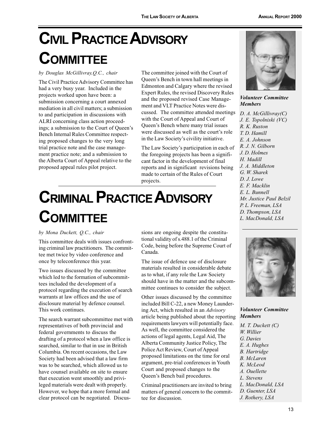# **CIVIL PRACTICE ADVISORY COMMITTEE**

*by Douglas McGillivray,Q.C., chair*

The Civil Practice Advisory Committee has had a very busy year. Included in the projects worked upon have been: a submission concerning a court annexed mediation in all civil matters; a submission to and participation in discussions with ALRI concerning class action proceedings; a submission to the Court of Queen's Bench Internal Rules Committee respecting proposed changes to the very long trial practice note and the case management practice note; and a submission to the Alberta Court of Appeal relative to the proposed appeal rules pilot project.

The committee joined with the Court of Queen's Bench in town hall meetings in Edmonton and Calgary where the revised Expert Rules, the revised Discovery Rules and the proposed revised Case Management and VLT Practice Notes were discussed. The committee attended meetings with the Court of Appeal and Court of Queen's Bench where many trial issues were discussed as well as the court's role in the Law Society's civility initiative.

The Law Society's participation in each of the foregoing projects has been a significant factor in the development of final reports and in significant revisions being made to certain of the Rules of Court projects.

# **CRIMINAL PRACTICE ADVISORY COMMITTEE**

#### *by Mona Duckett, Q.C., chair*

This committee deals with issues confronting criminal law practitioners. The committee met twice by video conference and once by teleconference this year.

Two issues discussed by the committee which led to the formation of subcommittees included the development of a protocol regarding the execution of search warrants at law offices and the use of disclosure material by defence counsel. This work continues.

The search warrant subcommittee met with representatives of both provincial and federal governments to discuss the drafting of a protocol when a law office is searched, similar to that in use in British Columbia. On recent occasions, the Law Society had been advised that a law firm was to be searched, which allowed us to have counsel available on site to ensure that execution went smoothly and privileged materials were dealt with properly. However, we hope that a more formal and clear protocol can be negotiated. Discussions are ongoing despite the constitutional validity of s.488.1 of the Criminal Code, being before the Supreme Court of Canada.

The issue of defence use of disclosure materials resulted in considerable debate as to what, if any role the Law Society should have in the matter and the subcommittee continues to consider the subject.

Other issues discussed by the committee included Bill C-22, a new Money Laundering Act, which resulted in an *Advisory* article being published about the reporting requirements lawyers will potentially face. As well, the committee considered the actions of legal agents, Legal Aid, The Alberta Community Justice Policy, The Police Act Review, Court of Appeal proposed limitations on the time for oral argument, pre-trial conferences in Youth Court and proposed changes to the Queen's Bench bail procedures.

Criminal practitioners are invited to bring matters of general concern to the committee for discussion.



*Volunteer Committee Members*

*D. A. McGillivray(C) J. E. Topolniski (VC) R. K. Ruston T. D. Hamill E. A. Johnson R. J. N. Gilborn J. D. Holmes H. Madill J. A. Middleton G. W. Sharek D. J. Lowe E. F. Macklin E. L. Bunnell Mr. Justice Paul Belzil P. L. Freeman, LSA D. Thompson, LSA L. MacDonald, LSA*



*Volunteer Committee Members*

*M. T. Duckett (C) W. Willier G. Davies E. A. Hughes B. Hartridge B. McLaren K. McLeod A. Ouellette L. Stevens L. MacDonald, LSA D. Guenter, LSA J. Rothery, LSA*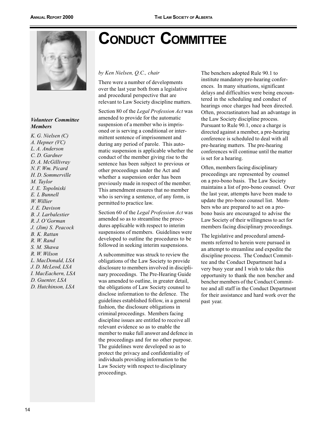

*K. G. Nielsen (C) A. Hepner (VC) L. A. Anderson C. D. Gardner D. A. McGillivray N. F. Wm. Picard H. D. Sommerville M. Taylor J. E. Topolniski E. L Bunnell W. Willier J. E. Davison B. J. Larbalestier R. J. O'Gorman J. (Jim) S. Peacock B. K. Rattan R. W. Rand S. M. Shawa R. W. Wilson L. MacDonald, LSA J. D. McLeod, LSA I. MacEachern, LSA D. Guenter, LSA D. Hutchinson, LSA*

### **CONDUCT COMMITTEE**

#### *by Ken Nielsen, Q.C., chair*

There were a number of developments over the last year both from a legislative and procedural perspective that are relevant to Law Society discipline matters.

Section 80 of the *Legal Profession Act* was amended to provide for the automatic suspension of a member who is imprisoned or is serving a conditional or intermittent sentence of imprisonment and during any period of parole. This automatic suspension is applicable whether the conduct of the member giving rise to the sentence has been subject to previous or other proceedings under the Act and whether a suspension order has been previously made in respect of the member. This amendment ensures that no member who is serving a sentence, of any form, is permitted to practice law.

Section 60 of the *Legal Profession Act* was amended so as to streamline the procedures applicable with respect to interim suspensions of members. Guidelines were developed to outline the procedures to be followed in seeking interim suspensions.

A subcommittee was struck to review the obligations of the Law Society to provide disclosure to members involved in disciplinary proceedings. The Pre-Hearing Guide was amended to outline, in greater detail, the obligations of Law Society counsel to disclose information to the defence. The guidelines established follow, in a general fashion, the disclosure obligations in criminal proceedings. Members facing discipline issues are entitled to receive all relevant evidence so as to enable the member to make full answer and defence in the proceedings and for no other purpose. The guidelines were developed so as to protect the privacy and confidentiality of individuals providing information to the Law Society with respect to disciplinary proceedings.

The benchers adopted Rule 90.1 to institute mandatory pre-hearing conferences. In many situations, significant delays and difficulties were being encountered in the scheduling and conduct of hearings once charges had been directed. Often, procrastinators had an advantage in the Law Society discipline process. Pursuant to Rule 90.1, once a charge is directed against a member, a pre-hearing conference is scheduled to deal with all pre-hearing matters. The pre-hearing conferences will continue until the matter is set for a hearing.

Often, members facing disciplinary proceedings are represented by counsel on a pro-bono basis. The Law Society maintains a list of pro-bono counsel. Over the last year, attempts have been made to update the pro-bono counsel list. Members who are prepared to act on a probono basis are encouraged to advise the Law Society of their willingness to act for members facing disciplinary proceedings.

The legislative and procedural amendments referred to herein were pursued in an attempt to streamline and expedite the discipline process. The Conduct Committee and the Conduct Department had a very busy year and I wish to take this opportunity to thank the non bencher and bencher members of the Conduct Committee and all staff in the Conduct Department for their assistance and hard work over the past year.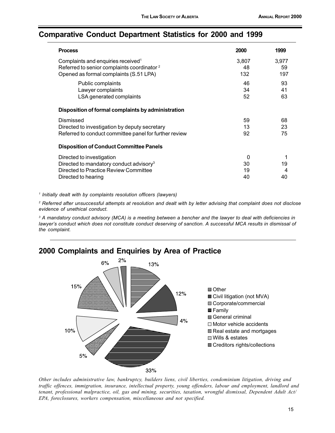#### **Comparative Conduct Department Statistics for 2000 and 1999**

| <b>Process</b>                                         | <b>2000</b> | 1999  |
|--------------------------------------------------------|-------------|-------|
| Complaints and enquiries received <sup>1</sup>         | 3,807       | 3,977 |
| Referred to senior complaints coordinator <sup>2</sup> | 48          | 59    |
| Opened as formal complaints (S.51 LPA)                 | 132         | 197   |
| Public complaints                                      | 46          | 93    |
| Lawyer complaints                                      | 34          | 41    |
| LSA generated complaints                               | 52          | 63    |
| Disposition of formal complaints by administration     |             |       |
| Dismissed                                              | 59          | 68    |
| Directed to investigation by deputy secretary          | 13          | 23    |
| Referred to conduct committee panel for further review | 92          | 75    |
| <b>Disposition of Conduct Committee Panels</b>         |             |       |
| Directed to investigation                              | 0           | 1     |
| Directed to mandatory conduct advisory <sup>3</sup>    | 30          | 19    |
| Directed to Practice Review Committee                  | 19          | 4     |
| Directed to hearing                                    | 40          | 40    |

*1 Initially dealt with by complaints resolution officers (lawyers)*

*2 Referred after unsuccessful attempts at resolution and dealt with by letter advising that complaint does not disclose evidence of unethical conduct.*

*3 A mandatory conduct advisory (MCA) is a meeting between a bencher and the lawyer to deal with deficiencies in lawyer's conduct which does not constitute conduct deserving of sanction. A successful MCA results in dismissal of the complaint.*

#### **2000 Complaints and Enquiries by Area of Practice**



*Other includes administrative law, bankruptcy, builders liens, civil liberties, condominium litigation, driving and traffic offences, immigration, insurance, intellectual property, young offenders, labour and employment, landlord and tenant, professional malpractice, oil, gas and mining, securities, taxation, wrongful dismissal, Dependent Adult Act/ EPA, foreclosures, workers compensation, miscellaneous and not specified.*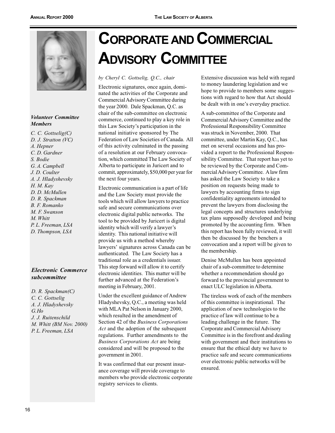

*C. C. Gottselig(C) D. J. Stratton (VC) A. Hepner C. D. Gardner S. Bodie G. A. Campbell J. D. Coulter A. J. Hladyshevsky H. M. Kay D. D. McMullen D. R. Spackman B. F. Romanko M. F. Swanson M. Whitt P. L. Freeman, LSA D. Thompson, LSA*

#### *Electronic Commerce subcommittee*

*D. R. Spackman(C) C. C. Gottselig A. J. Hladyshevsky G. Ho J. J. Ruitenschild M. Whitt (BM Nov. 2000) P. L. Freeman, LSA*

# **CORPORATE AND COMMERCIAL ADVISORY COMMITTEE**

#### *by Cheryl C. Gottselig, Q.C., chair*

Electronic signatures, once again, dominated the activities of the Corporate and Commercial Advisory Committee during the year 2000. Dale Spackman, Q.C. as chair of the sub-committee on electronic commerce, continued to play a key role in this Law Society's participation in the national initiative sponsored by The Federation of Law Societies of Canada. All of this activity culminated in the passing of a resolution at our February convocation, which committed The Law Society of Alberta to participate in Juricert and to commit, approximately, \$50,000 per year for the next four years.

Electronic communication is a part of life and the Law Society must provide the tools which will allow lawyers to practice safe and secure communications over electronic digital public networks. The tool to be provided by Juricert is digital identity which will verify a lawyer's identity. This national initiative will provide us with a method whereby lawyers' signatures across Canada can be authenticated. The Law Society has a traditional role as a credentials issuer. This step forward will allow it to certify electronic identities. This matter will be further advanced at the Federation's meeting in February, 2001.

Under the excellent guidance of Andrew Hladyshevsky, Q.C., a meeting was held with MLA Pat Nelson in January 2000, which resulted in the amendment of Section 42 of the *Business Corporations Act* and the adoption of the subsequent regulations. Further amendments to the *Business Corporations Act* are being considered and will be proposed to the government in 2001.

It was confirmed that our present insurance coverage will provide coverage to members who provide electronic corporate registry services to clients.

Extensive discussion was held with regard to money laundering legislation and we hope to provide to members some suggestions with regard to how that Act should be dealt with in one's everyday practice.

A sub-committee of the Corporate and Commercial Advisory Committee and the Professional Responsibility Committee was struck in November, 2000. That committee, under Martin Kay, Q.C., has met on several occasions and has provided a report to the Professional Responsibility Committee. That report has yet to be reviewed by the Corporate and Commercial Advisory Committee. A law firm has asked the Law Society to take a position on requests being made to lawyers by accounting firms to sign confidentiality agreements intended to prevent the lawyers from disclosing the legal concepts and structures underlying tax plans supposedly developed and being promoted by the accounting firm. When this report has been fully reviewed, it will then be discussed by the benchers a convocation and a report will be given to the membership.

Denise McMullen has been appointed chair of a sub-committee to determine whether a recommendation should go forward to the provincial government to enact ULC legislation in Alberta.

The tireless work of each of the members of this committee is inspirational. The application of new technologies to the practice of law will continue to be a leading challenge in the future. The Corporate and Commercial Advisory Committee is in the forefront and dealing with government and their institutions to ensure that the ethical duty we have to practice safe and secure communications over electronic public networks will be ensured.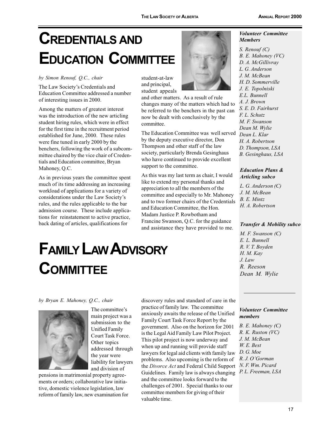# **CREDENTIALS AND EDUCATION COMMITTEE**

#### *by Simon Renouf, Q.C., chair*

The Law Society's Credentials and Education Committee addressed a number of interesting issues in 2000.

Among the matters of greatest interest was the introduction of the new articling student hiring rules, which were in effect for the first time in the recruitment period established for June, 2000. These rules were fine tuned in early 2000 by the benchers, following the work of a subcommittee chaired by the vice chair of Credentials and Education committee, Bryan Mahoney, Q.C.

As in previous years the committee spent much of its time addressing an increasing workload of applications for a variety of considerations under the Law Society's rules, and the rules applicable to the bar admission course. These include applications for reinstatement to active practice, back dating of articles, qualifications for

# **FAMILY LAW ADVISORY COMMITTEE**

student-at-law and principal, student appeals

and other matters. As a result of rule changes many of the matters which had to be referred to the benchers in the past can now be dealt with conclusively by the committee.

The Education Committee was well served by the deputy executive director, Don Thompson and other staff of the law society, particularly Brenda Gesinghaus who have continued to provide excellent support to the committee.

As this was my last term as chair, I would like to extend my personal thanks and appreciation to all the members of the committee and especially to Mr. Mahoney and to two former chairs of the Credentials and Education Committee, the Hon. Madam Justice P. Rowbotham and Francine Swanson, Q.C. for the guidance and assistance they have provided to me.



*S. Renouf (C) B. E. Mahoney (VC) D. A. McGillivray L. G. Anderson J. M. McBean H. D. Sommerville J. E. Topolniski E.L. Bunnell A. J. Brown S. E. D. Fairhurst F. L. Schutz M. F. Swanson Dean M. Wylie Dean L. Klar H. A. Robertson D. Thompson, LSA B. Gesinghaus, LSA*

#### *Education Plans & Articling subco*

*L. G. Anderson (C) J. M. McBean B. E. Mintz H. A. Robertson*

#### *Transfer & Mobility subco*

*M. F. Swanson (C) E. L. Bunnell R. V. T. Boyden H. M. Kay J. Law R. Reeson Dean M. Wylie*

#### *by Bryan E. Mahoney, Q.C., chair*



The committee's main project was a submission to the Unified Family Court Task Force. Other topics addressed through the year were liability for lawyers and division of

pensions in matrimonial property agreements or orders; collaborative law initiative, domestic violence legislation, law reform of family law, new examination for discovery rules and standard of care in the practice of family law. The committee anxiously awaits the release of the Unified Family Court Task Force Report by the government. Also on the horizon for 2001 is the Legal Aid Family Law Pilot Project. This pilot project is now underway and when up and running will provide staff lawyers for legal aid clients with family law problems. Also upcoming is the reform of the *Divorce Act* and Federal Child Support *N. F. Wm. Picard* Guidelines. Family law is always changing *P. L. Freeman, LSA*and the committee looks forward to the challenges of 2001. Special thanks to our committee members for giving of their valuable time.

#### *Volunteer Committee members*

*B. E. Mahoney (C) R. K. Ruston (VC) J. M. McBean W. E. Best D. G. Moe R. J. O'Gorman*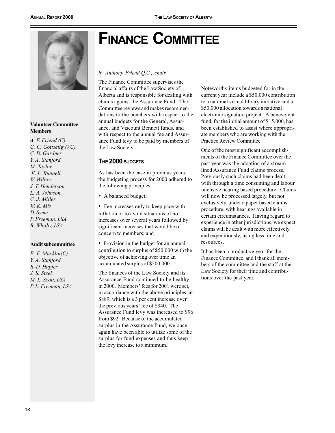

*A. F. Friend (C) C. C. Gottselig (VC) C. D. Gardner Y. A. Stanford M. Taylor E. L. Bunnell W. Willier J. T. Henderson L. A. Johnson C. J. Miller W. K. Mis D. Syme P. Freeman, LSA B. Whitby, LSA*

#### **Audit subcommittee**

*E. F. Macklin(C) Y. A. Stanford R. D. Hupfer J. S. Steel M. L. Scott, LSA P. L. Freeman, LSA*

### **FINANCE COMMITTEE**

#### *by Anthony Friend,Q.C., chair*

The Finance Committee supervises the financial affairs of the Law Society of Alberta and is responsible for dealing with claims against the Assurance Fund. The Committee reviews and makes recommendations to the benchers with respect to the annual budgets for the General, Assurance, and Viscount Bennett funds, and with respect to the annual fee and Assurance Fund levy to be paid by members of the Law Society.

#### **THE 2000 BUDGETS**

As has been the case in previous years, the budgeting process for 2000 adhered to the following principles:

• A balanced budget;

• Fee increases only to keep pace with inflation or to avoid situations of no increases over several years followed by significant increases that would be of concern to members; and

• Provision in the budget for an annual contribution to surplus of \$50,000 with the objective of achieving over time an accumulated surplus of \$500,000.

The finances of the Law Society and its Assurance Fund continued to be healthy in 2000. Members' fees for 2001 were set, in accordance with the above principles, at \$889, which is a 3 per cent increase over the previous years' fee of \$840. The Assurance Fund levy was increased to \$96 from \$92. Because of the accumulated surplus in the Assurance Fund, we once again have been able to utilize some of the surplus for fund expenses and thus keep the levy increase to a minimum.

Noteworthy items budgeted for in the current year include a \$50,000 contribution to a national virtual library initiative and a \$50,000 allocation towards a national electronic signature project. A benevolent fund, for the initial amount of \$15,000, has been established to assist where appropriate members who are working with the Practice Review Committee.

One of the most significant accomplishments of the Finance Committee over the past year was the adoption of a streamlined Assurance Fund claims process. Previously such claims had been dealt with through a time consuming and labour intensive hearing based procedure. Claims will now be processed largely, but not exclusively, under a paper based claims procedure, with hearings available in certain circumstances. Having regard to experience in other jurisdictions, we expect claims will be dealt with more effectively and expeditiously, using less time and resources.

It has been a productive year for the Finance Committee, and I thank all members of the committee and the staff at the Law Society for their time and contributions over the past year.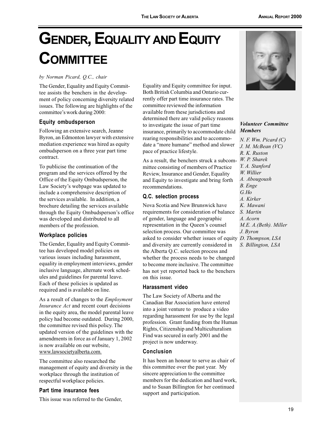# **GENDER, EQUALITY AND EQUITY COMMITTEE**

#### *by Norman Picard, Q.C., chair*

The Gender, Equality and Equity Committee assists the benchers in the development of policy concerning diversity related issues. The following are highlights of the committee's work during 2000:

#### **Equity ombudsperson**

Following an extensive search, Jeanne Byron, an Edmonton lawyer with extensive mediation experience was hired as equity ombudsperson on a three year part time contract.

To publicise the continuation of the program and the services offered by the Office of the Equity Ombudsperson, the Law Society's webpage was updated to include a comprehensive description of the services available. In addition, a brochure detailing the services available through the Equity Ombudsperson's office was developed and distributed to all members of the profession.

#### **Workplace policies**

The Gender, Equality and Equity Committee has developed model policies on various issues including harassment, equality in employment interviews, gender inclusive language, alternate work schedules and guidelines for parental leave. Each of these policies is updated as required and is available on line.

As a result of changes to the *Employment Insurance Act* and recent court decisions in the equity area, the model parental leave policy had become outdated. During 2000, the committee revised this policy. The updated version of the guidelines with the amendments in force as of January 1, 2002 is now available on our website, www.lawsocietyalberta.com.

The committee also researched the management of equity and diversity in the workplace through the institution of respectful workplace policies.

#### **Part time insurance fees**

This issue was referred to the Gender,

Equality and Equity committee for input. Both British Columbia and Ontario currently offer part time insurance rates. The committee reviewed the information available from these jurisdictions and determined there are valid policy reasons to investigate the issue of part time insurance, primarily to accommodate child rearing responsibilities and to accommodate a "more humane" method and slower pace of practice lifestyle.

As a result, the benchers struck a subcom-*W. P. Sharek* mittee consisting of members of Practice Review, Insurance and Gender, Equality and Equity to investigate and bring forth recommendations.

#### **Q.C. selection process**

Nova Scotia and New Brunswick have requirements for consideration of balance of gender, language and geographic representation in the Queen's counsel selection process. Our committee was asked to consider whether issues of equity *D. Thompson, LSA* and diversity are currently considered in the Alberta Q.C. selection process and whether the process needs to be changed to become more inclusive. The committee has not yet reported back to the benchers on this issue.

#### **Harassment video**

The Law Society of Alberta and the Canadian Bar Association have entered into a joint venture to produce a video regarding harassment for use by the legal profession. Grant funding from the Human Rights, Citizenship and Multiculturalism Find was secured in early 2001 and the project is now underway.

#### **Conclusion**

It has been an honour to serve as chair of this committee over the past year. My sincere appreciation to the committee members for the dedication and hard work, and to Susan Billington for her continued support and participation.



#### *Volunteer Committee Members*

*N. F. Wm. Picard (C) J. M. McBean (VC) R. K. Ruston Y. A. Stanford W. Willier A. Abougoush B. Enge G. Ho A. Kirker K. Mawani S. Martin A. Acorn M.E. A.(Beth). Miller J. Byron S. Billington, LSA*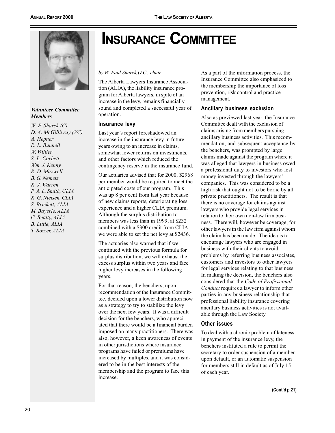

*W. P. Sharek (C) D. A. McGillivray (VC) A. Hepner E. L. Bunnell W. Willier S. L. Corbett Wm. J. Kenny R. D. Maxwell B. G. Nemetz K. J. Warren P. A. L. Smith, CLIA K. G. Nielsen, CLIA S. Brickett, ALIA M. Bayerle, ALIA C. Beatty, ALIA B. Little, ALIA T. Bozzer, ALIA*

### **INSURANCE COMMITTEE**

#### *by W. Paul Sharek,Q.C., chair*

The Alberta Lawyers Insurance Association (ALIA), the liability insurance program for Alberta lawyers, in spite of an increase in the levy, remains financially sound and completed a successful year of operation.

#### **Insurance levy**

Last year's report foreshadowed an increase in the insurance levy in future years owing to an increase in claims, somewhat lower returns on investments, and other factors which reduced the contingency reserve in the insurance fund.

Our actuaries advised that for 2000, \$2968 per member would be required to meet the anticipated costs of our program. This was up 8 per cent from last year because of new claims reports, deteriorating loss experience and a higher CLIA premium. Although the surplus distribution to members was less than in 1999, at \$232 combined with a \$300 credit from CLIA, we were able to set the net levy at \$2436.

The actuaries also warned that if we continued with the previous formula for surplus distribution, we will exhaust the excess surplus within two years and face higher levy increases in the following years.

For that reason, the benchers, upon recommendation of the Insurance Committee, decided upon a lower distribution now as a strategy to try to stabilize the levy over the next few years. It was a difficult decision for the benchers, who appreciated that there would be a financial burden imposed on many practitioners. There was also, however, a keen awareness of events in other jurisdictions where insurance programs have failed or premiums have increased by multiples, and it was considered to be in the best interests of the membership and the program to face this increase.

As a part of the information process, the Insurance Committee also emphasized to the membership the importance of loss prevention, risk control and practice management.

#### **Ancillary business exclusion**

Also as previewed last year, the Insurance Committee dealt with the exclusion of claims arising from members pursuing ancillary business activities. This recommendation, and subsequent acceptance by the benchers, was prompted by large claims made against the program where it was alleged that lawyers in business owed a professional duty to investors who lost money invested through the lawyers' companies. This was considered to be a high risk that ought not to be borne by all private practitioners. The result is that there is no coverage for claims against lawyers who provide legal services in relation to their own non-law firm business. There will, however be coverage, for other lawyers in the law firm against whom the claim has been made. The idea is to encourage lawyers who are engaged in business with their clients to avoid problems by referring business associates, customers and investors to other lawyers for legal services relating to that business. In making the decision, the benchers also considered that the *Code of Professional Conduct* requires a lawyer to inform other parties in any business relationship that professional liability insurance covering ancillary business activities is not available through the Law Society.

#### **Other issues**

To deal with a chronic problem of lateness in payment of the insurance levy, the benchers instituted a rule to permit the secretary to order suspension of a member upon default, or an automatic suspension for members still in default as of July 15 of each year.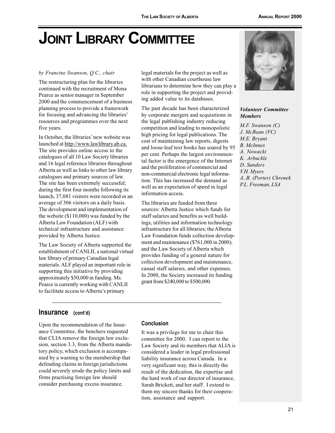### **JOINT LIBRARY COMMITTEE**

#### *by Francine Swanson, Q.C., chair*

The restructuring plan for the libraries continued with the recruitment of Mona Pearce as senior manager in September 2000 and the commencement of a business planning process to provide a framework for focusing and advancing the libraries' resources and programmes over the next five years.

In October, the libraries' new website was launched at http://www.lawlibrary.ab.ca. The site provides online access to the catalogues of all 10 Law Society libraries and 16 legal reference libraries throughout Alberta as well as links to other law library catalogues and primary sources of law. The site has been extremely successful; during the first four months following its launch, 37,081 visitors were recorded or an average of 306 visitors on a daily basis. The development and implementation of the website (\$110,000) was funded by the Alberta Law Foundation (ALF) with technical infrastructure and assistance provided by Alberta Justice.

The Law Society of Alberta supported the establishment of CANLII, a national virtual law library of primary Canadian legal materials. ALF played an important role in supporting this initiative by providing approximately \$50,000 in funding. Ms. Pearce is currently working with CANLII to facilitate access to Alberta's primary

**Insurance (cont'd)**

Upon the recommendation of the Insurance Committee, the benchers requested that CLIA remove the foreign law exclusion, section 3.3, from the Alberta mandatory policy, which exclusion is accompanied by a warning to the membership that defending claims in foreign jurisdictions could severely erode the policy limits and firms practising foreign law should consider purchasing excess insurance.

legal materials for the project as well as with other Canadian courthouse law librarians to determine how they can play a role in supporting the project and providing added value to its databases.

The past decade has been characterized by corporate mergers and acquisitions in the legal publishing industry reducing competition and leading to monopolistic high pricing for legal publications. The cost of maintaining law reports, digests and loose-leaf text books has soared by 95 per cent. Perhaps the largest environmental factor is the emergence of the Internet and the proliferation of commercial and non-commercial electronic legal information. This has increased the demand as well as an expectation of speed in legal information access.

The libraries are funded from three sources: Alberta Justice which funds for staff salaries and benefits as well buildings, utilities and information technology infrastructure for all libraries; the Alberta Law Foundation funds collection development and maintenance (\$761,000 in 2000); and the Law Society of Alberta which provides funding of a general nature for collection development and maintenance, casual staff salaries, and other expenses. In 2000, the Society increased its funding grant from \$240,000 to \$500,000.



#### *Volunteer Committee Members*

*M.F. Swanson (C) J. McBean (VC) M.E. Bryant B. McInnes A. Nowacki K. Arbuckle D. Sanders V.H. Myers A..B. (Porter) Chrenek P.L. Freeman, LSA*

#### **Conclusion**

It was a privilege for me to chair this committee for 2000. I can report to the Law Society and its members that ALIA is considered a leader in legal professional liability insurance across Canada. In a very significant way, this is directly the result of the dedication, the expertise and the hard work of our director of insurance, Sarah Brickett, and her staff. I extend to them my sincere thanks for their cooperation, assistance and support.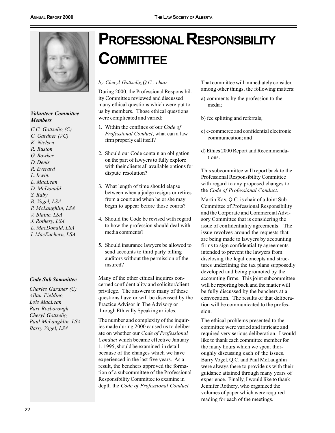

*C.C. Gottselig (C) C. Gardner (VC) K. Nielsen R. Ruston G. Bowker D. Denis R. Everard L. Irwin. L. MacLean D. McDonald S. Raby B. Vogel, LSA P. McLaughlin, LSA V. Blaine, LSA J. Rothery, LSA L. MacDonald, LSA I. MacEachern, LSA*

#### *Code Sub Sommittee*

*Charles Gardner (C) Allan Fielding Lois MacLean Bart Rosborough Cheryl Gottselig Paul McLaughlin, LSA Barry Vogel, LSA*

# **PROFESSIONAL RESPONSIBILITY COMMITTEE**

#### *by Cheryl Gottselig,Q.C., chair*

During 2000, the Professional Responsibility Committee reviewed and discussed many ethical questions which were put to us by members. Those ethical questions were complicated and varied:

- 1. Within the confines of our *Code of Professional Conduct*, what can a law firm properly call itself?
- 2. Should our Code contain an obligation on the part of lawyers to fully explore with their clients all available options for dispute resolution?
- 3. What length of time should elapse between when a judge resigns or retires from a court and when he or she may begin to appear before those courts?
- 4. Should the Code be revised with regard to how the profession should deal with media comments?
- 5. Should insurance lawyers be allowed to send accounts to third party billing auditors without the permission of the insured?

Many of the other ethical inquires concerned confidentiality and solicitor/client privilege. The answers to many of these questions have or will be discussed by the Practice Advisor in The Advisory or through Ethically Speaking articles.

The number and complexity of the inquiries made during 2000 caused us to deliberate on whether our *Code of Professional Conduct* which became effective January 1, 1995, should be examined in detail because of the changes which we have experienced in the last five years. As a result, the benchers approved the formation of a subcommittee of the Professional Responsibility Committee to examine in depth the *Code of Professional Conduct.*

That committee will immediately consider, among other things, the following matters:

- a) comments by the profession to the media;
- b) fee splitting and referrals;
- c) e-commerce and confidential electronic communication; and
- d) Ethics 2000 Report and Recommendations.

This subcommittee will report back to the Professional Responsibility Committee with regard to any proposed changes to the *Code of Professional Conduct*.

Martin Kay, Q.C. is chair of a Joint Sub-Committee of Professional Responsibility and the Corporate and Commercial Advisory Committee that is considering the issue of confidentiality agreements. The issue revolves around the requests that are being made to lawyers by accounting firms to sign confidentiality agreements intended to prevent the lawyers from disclosing the legal concepts and structures underlining the tax plans supposedly developed and being promoted by the accounting firms. This joint subcommittee will be reporting back and the matter will be fully discussed by the benchers at a convocation. The results of that deliberation will be communicated to the profession.

The ethical problems presented to the committee were varied and intricate and required very serious deliberation. I would like to thank each committee member for the many hours which we spent thoroughly discussing each of the issues. Barry Vogel, Q.C. and Paul McLaughlin were always there to provide us with their guidance attained through many years of experience. Finally, I would like to thank Jennifer Rothery, who organized the volumes of paper which were required reading for each of the meetings.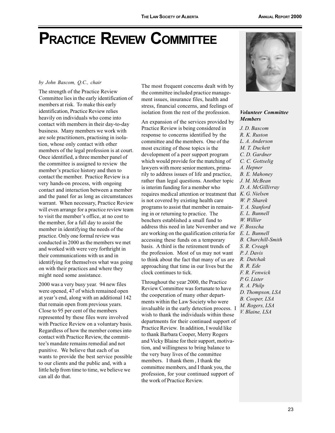### **PRACTICE REVIEW COMMITTEE**

#### *by John Bascom, Q.C., chair*

The strength of the Practice Review Committee lies in the early identification of members at risk. To make this early identification, Practice Review relies heavily on individuals who come into contact with members in their day-to-day business. Many members we work with are sole practitioners, practising in isolation, whose only contact with other members of the legal profession is at court. Once identified, a three member panel of the committee is assigned to review the member's practice history and then to contact the member. Practice Review is a very hands-on process, with ongoing contact and interaction between a member and the panel for as long as circumstances warrant. When necessary, Practice Review will even arrange for a practice review team to visit the member's office, at no cost to the member, for a full day to assist the member in identifying the needs of the practice. Only one formal review was conducted in 2000 as the members we met and worked with were very forthright in their communications with us and in identifying for themselves what was going on with their practices and where they might need some assistance.

2000 was a very busy year. 94 new files were opened, 47 of which remained open at year's end, along with an additional 142 that remain open from previous years. Close to 95 per cent of the members represented by these files were involved with Practice Review on a voluntary basis. Regardless of how the member comes into contact with Practice Review, the committee's mandate remains remedial and not punitive. We believe that each of us wants to provide the best service possible to our clients and the public and, with a little help from time to time, we believe we can all do that.

The most frequent concerns dealt with by the committee included practice management issues, insurance files, health and stress, financial concerns, and feelings of isolation from the rest of the profession.

An expansion of the services provided by Practice Review is being considered in response to concerns identified by the committee and the members. One of the most exciting of those topics is the development of a peer support program which would provide for the matching of lawyers with more senior mentors, primarily to address issues of life and practice, rather than legal questions. Another topic is interim funding for a member who requires medical attention or treatment that *K. G. Nielsen* is not covered by existing health care programs to assist that member in remaining in or returning to practice. The benchers established a small fund to address this need in late November and we *F. Bosscha* are working on the qualification criteria for accessing these funds on a temporary basis. A third is the retirement trends of the profession. Most of us may not want to think about the fact that many of us are approaching that time in our lives but the clock continues to tick.

Throughout the year 2000, the Practice Review Committee was fortunate to have the cooperation of many other departments within the Law Society who were invaluable in the early detection process. I wish to thank the individuals within those departments for their continued support of Practice Review. In addition, I would like to thank Barbara Cooper, Merry Rogers and Vicky Blaine for their support, motivation, and willingness to bring balance to the very busy lives of the committee members. I thank them , I thank the committee members, and I thank you, the profession, for your continued support of the work of Practice Review.



#### *Volunteer Committee Members*

*J. D. Bascom R. K. Ruston L. A. Anderson M. T. Duckett C. D. Gardner C. C. Gottselig A. Hepner B. E. Mahoney J. M. McBean D. A. McGillivray W. P. Sharek Y. A. Stanford E. L. Bunnell W. Willier E. L. Bunnell B. Churchill-Smith S. R. Creagh P. J. Davis R. Dutchak B. R. Ede F. R. Fenwick P. G. Lister R. A. Philp D. Thompson, LSA B. Cooper, LSA M. Rogers, LSA V. Blaine, LSA*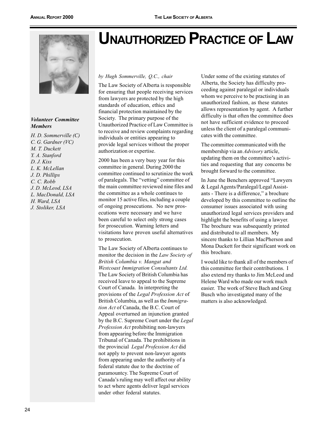

*H. D. Sommerville (C) C. G. Gardner (VC) M. T. Duckett Y. A. Stanford D. J. Kiss L. K. McLellan J. D. Phillips C. C. Robb J. D. McLeod, LSA L. MacDonald, LSA H. Ward, LSA J. Stoliker, LSA*

## **UNAUTHORIZED PRACTICE OF LAW**

#### *by Hugh Sommerville, Q.C., chair*

The Law Society of Alberta is responsible for ensuring that people receiving services from lawyers are protected by the high standards of education, ethics and financial protection maintained by the Society. The primary purpose of the Unauthorized Practice of Law Committee is to receive and review complaints regarding individuals or entities appearing to provide legal services without the proper authorization or expertise.

2000 has been a very busy year for this committee in general. During 2000 the committee continued to scrutinize the work of paralegals. The "vetting" committee of the main committee reviewed nine files and the committee as a whole continues to monitor 15 active files, including a couple of ongoing prosecutions. No new prosecutions were necessary and we have been careful to select only strong cases for prosecution. Warning letters and visitations have proven useful alternatives to prosecution.

The Law Society of Alberta continues to monitor the decision in the *Law Society of British Columbia v. Mangat and Westcoast Immigration Consultants Ltd.* The Law Society of British Columbia has received leave to appeal to the Supreme Court of Canada. In interpreting the provisions of the *Legal Profession Act* of British Columbia, as well as the *Immigration Act* of Canada, the B.C. Court of Appeal overturned an injunction granted by the B.C. Supreme Court under the *Legal Profession Act* prohibiting non-lawyers from appearing before the Immigration Tribunal of Canada. The prohibitions in the provincial *Legal Profession Act* did not apply to prevent non-lawyer agents from appearing under the authority of a federal statute due to the doctrine of paramountcy. The Supreme Court of Canada's ruling may well affect our ability to act where agents deliver legal services under other federal statutes.

Under some of the existing statutes of Alberta, the Society has difficulty proceeding against paralegal or individuals whom we perceive to be practising in an unauthorized fashion, as these statutes allows representation by agent. A further difficulty is that often the committee does not have sufficient evidence to proceed unless the client of a paralegal communicates with the committee.

The committee communicated with the membership via an *Advisory* article, updating them on the committee's activities and requesting that any concerns be brought forward to the committee.

In June the Benchers approved "Lawyers & Legal Agents/Paralegal/Legal Assistants - There is a difference," a brochure developed by this committee to outline the consumer issues associated with using unauthorized legal services providers and highlight the benefits of using a lawyer. The brochure was subsequently printed and distributed to all members. My sincere thanks to Lillian MacPherson and Mona Duckett for their significant work on this brochure.

I would like to thank all of the members of this committee for their contributions. I also extend my thanks to Jim McLeod and Helene Ward who made our work much easier. The work of Steve Bach and Greg Busch who investigated many of the matters is also acknowledged.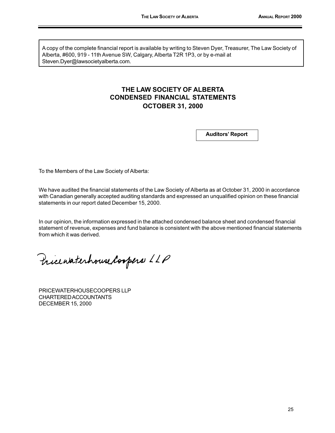A copy of the complete financial report is available by writing to Steven Dyer, Treasurer, The Law Society of Alberta, #600, 919 - 11th Avenue SW, Calgary, Alberta T2R 1P3, or by e-mail at Steven.Dyer@lawsocietyalberta.com.

#### **THE LAW SOCIETY OF ALBERTA CONDENSED FINANCIAL STATEMENTS OCTOBER 31, 2000**

**Auditors' Report**

To the Members of the Law Society of Alberta:

We have audited the financial statements of the Law Society of Alberta as at October 31, 2000 in accordance with Canadian generally accepted auditing standards and expressed an unqualified opinion on these financial statements in our report dated December 15, 2000.

In our opinion, the information expressed in the attached condensed balance sheet and condensed financial statement of revenue, expenses and fund balance is consistent with the above mentioned financial statements from which it was derived.

Pricewaterhouse Coopers LLP

PRICEWATERHOUSECOOPERS LLP CHARTERED ACCOUNTANTS DECEMBER 15, 2000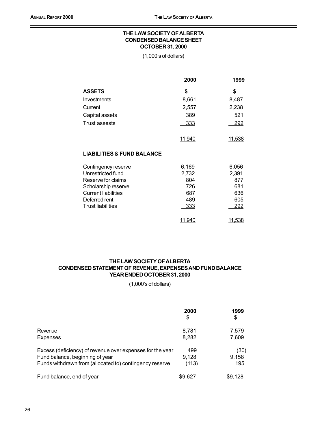#### **THE LAW SOCIETY OF ALBERTA CONDENSED BALANCE SHEET OCTOBER 31, 2000**

(1,000's of dollars)

|                                       | 2000       | 1999        |
|---------------------------------------|------------|-------------|
| <b>ASSETS</b>                         | \$         | \$          |
| Investments                           | 8,661      | 8,487       |
| Current                               | 2,557      | 2,238       |
| Capital assets                        | 389        | 521         |
| Trust assests                         | 333        | 292         |
|                                       | 11,940     | 11,538      |
| <b>LIABILITIES &amp; FUND BALANCE</b> |            |             |
| Contingency reserve                   | 6,169      | 6,056       |
| Unrestricted fund                     | 2,732      | 2,391       |
| Reserve for claims                    | 804        | 877         |
| Scholarship reserve                   | 726        | 681         |
| <b>Current liabilities</b>            | 687        | 636         |
| Deferred rent                         | 489        | 605         |
| <b>Trust liabilities</b>              | <u>333</u> | <u> 292</u> |
|                                       | 11,940     | 11,538      |

#### **THE LAW SOCIETY OF ALBERTA CONDENSED STATEMENT OF REVENUE, EXPENSES AND FUND BALANCE YEAR ENDED OCTOBER 31, 2000**

(1,000's of dollars)

|                                                           | 2000<br>\$ | 1999<br>\$  |
|-----------------------------------------------------------|------------|-------------|
| Revenue                                                   | 8,781      | 7,579       |
| Expenses                                                  | 8,282      | 7,609       |
| Excess (deficiency) of revenue over expenses for the year | 499        | (30)        |
| Fund balance, beginning of year                           | 9.128      | 9,158       |
| Funds withdrawn from (allocated to) contingency reserve   | (113)      | <u> 195</u> |
| Fund balance, end of year                                 | \$9.627    | \$9.128     |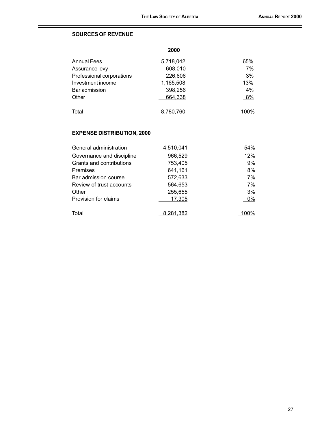#### **SOURCES OF REVENUE**

|                           | 2000      |      |
|---------------------------|-----------|------|
| <b>Annual Fees</b>        | 5,718,042 | 65%  |
| Assurance levy            | 608,010   | 7%   |
| Professional corporations | 226,606   | 3%   |
| Investment income         | 1,165,508 | 13%  |
| Bar admission             | 398,256   | 4%   |
| Other                     | 664,338   | 8%   |
| Total                     | 8.780.760 | 100% |

#### **EXPENSE DISTRIBUTION, 2000**

| General administration    | 4,510,041 | 54%   |
|---------------------------|-----------|-------|
| Governance and discipline | 966,529   | 12%   |
| Grants and contributions  | 753,405   | 9%    |
| Premises                  | 641,161   | 8%    |
| Bar admission course      | 572,633   | 7%    |
| Review of trust accounts  | 564,653   | 7%    |
| Other                     | 255,655   | 3%    |
| Provision for claims      | 17,305    | $0\%$ |
| Total                     | 8.281.382 | 100%  |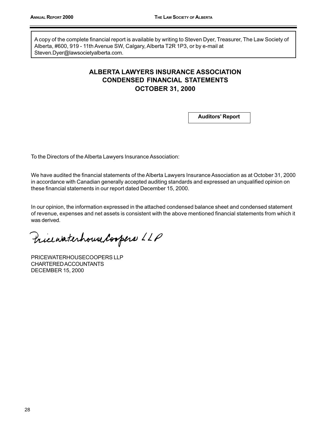A copy of the complete financial report is available by writing to Steven Dyer, Treasurer, The Law Society of Alberta, #600, 919 - 11th Avenue SW, Calgary, Alberta T2R 1P3, or by e-mail at Steven.Dyer@lawsocietyalberta.com.

#### **ALBERTA LAWYERS INSURANCE ASSOCIATION CONDENSED FINANCIAL STATEMENTS OCTOBER 31, 2000**

**Auditors' Report**

To the Directors of the Alberta Lawyers Insurance Association:

We have audited the financial statements of the Alberta Lawyers Insurance Association as at October 31, 2000 in accordance with Canadian generally accepted auditing standards and expressed an unqualified opinion on these financial statements in our report dated December 15, 2000.

In our opinion, the information expressed in the attached condensed balance sheet and condensed statement of revenue, expenses and net assets is consistent with the above mentioned financial statements from which it was derived.

Pricewaterhouse Coopers LLP

PRICEWATERHOUSECOOPERS LLP CHARTERED ACCOUNTANTS DECEMBER 15, 2000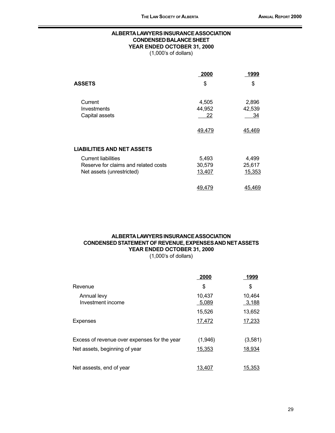#### **ALBERTA LAWYERS INSURANCE ASSOCIATION CONDENSED BALANCE SHEET YEAR ENDED OCTOBER 31, 2000**

(1,000's of dollars)

|                                                                                                 | 2000                      | 1999                      |
|-------------------------------------------------------------------------------------------------|---------------------------|---------------------------|
| ASSETS                                                                                          | \$                        | \$                        |
| Current<br>Investments<br>Capital assets                                                        | 4,505<br>44,952<br>22     | 2,896<br>42,539<br>34     |
|                                                                                                 | 49,479                    | 45,469                    |
| <b>LIABILITIES AND NET ASSETS</b>                                                               |                           |                           |
| <b>Current liabilities</b><br>Reserve for claims and related costs<br>Net assets (unrestricted) | 5,493<br>30,579<br>13,407 | 4,499<br>25,617<br>15,353 |
|                                                                                                 | 49,479                    | 45,469                    |

#### **ALBERTA LAWYERS INSURANCE ASSOCIATION CONDENSED STATEMENT OF REVENUE, EXPENSES AND NET ASSETS YEAR ENDED OCTOBER 31, 2000**

(1,000's of dollars)

|                                              | 2000            | 1999            |
|----------------------------------------------|-----------------|-----------------|
| Revenue                                      | \$              | \$              |
| Annual levy<br>Investment income             | 10,437<br>5,089 | 10,464<br>3,188 |
|                                              | 15,526          | 13,652          |
| Expenses                                     | 17,472          | 17,233          |
| Excess of revenue over expenses for the year | (1,946)         | (3,581)         |
| Net assets, beginning of year                | 15,353          | 18,934          |
| Net assests, end of year                     | 13,407          | 15,353          |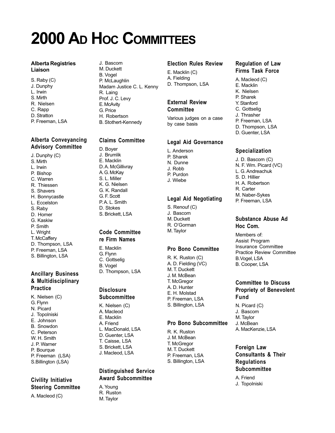# **2000 AD HOC COMMITTEES**

#### **Alberta Registries Liaison**

S. Raby (C) J. Dunphy L. Irwin S. Mirth R. Nielsen C. Rapp D. Stratton P. Freeman, LSA

#### **Alberta Conveyancing Advisory Committee**

J. Dunphy (C) S. Mirth L. Irwin P. Bishop C. Warren R. Thiessen S. Shavers H. Bonnycastle L. Eccelston S. Raby D. Homer G. Kaskiw P. Smith L. Wright T. McCaffery D. Thompson, LSA P. Freeman, LSA S. Billington, LSA

#### **Ancillary Business & Multidisciplinary Practice**

K. Nielsen (C) G. Flynn N. Picard J. Topolniski E. Johnson B. Snowdon C. Peterson W. H. Smith J. P. Warner P. Bourque P. Freeman (LSA) S.Billington (LSA)

#### **Civility Initiative Steering Committee**

A. Macleod (C)

J. Bascom M. Duckett B. Vogel P. McLaughlin Madam Justice C. L. Kenny R. Laing Prof. J. C. Levy E. McAvity G. Price H. Robertson B. Stothert-Kennedy

#### **Claims Committee**

D. Boyer J. Brumlik E. Macklin D. A. McGillivray A. G. McKay S. L. Miller K. G. Nielsen G. K. Randall G. F. Scott P. A. L. Smith D. Stokes S. Brickett, LSA

#### **Code Committee re Firm Names**

E. Macklin G. Flynn C. Gottselig B. Vogel D. Thompson, LSA

#### **Disclosure Subcommittee**

K. Nielsen (C) A. Macleod E. Macklin A. Friend L. MacDonald, LSA D. Guenter, LSA T. Caisse, LSA S. Brickett, LSA J. Macleod, LSA

#### **Distinguished Service Award Subcommittee**

A. Young R. Ruston M. Taylor

#### **Election Rules Review**

E. Macklin (C) A. Fielding D. Thompson, LSA

#### **External Review Committee**

Various judges on a case by case basis

#### **Legal Aid Governance**

L. Anderson P. Sharek N. Dunne J. Robb P. Purdon J. Wiebe

#### **Legal Aid Negotiating**

S. Renouf (C) J. Bascom M. Duckett R. O'Gorman M. Taylor

#### **Pro Bono Committee**

R. K. Ruston (C) A. D. Fielding (VC) M. T. Duckett J. M. McBean T. McGregor A. D. Hunter E. H. Molstad P. Freeman, LSA S. Billington, LSA

#### **Pro Bono Subcommittee**

R. K. Ruston J. M. McBean T. McGregor M. T. Duckett P. Freeman, LSA S. Billington, LSA

### **Regulation of Law Firms Task Force**

A. Macleod (C) E. Macklin K. Nielsen P. Sharek Y. Stanford C. Gottselig J. Thrasher P. Freeman, LSA D. Thompson, LSA

#### D. Guenter, LSA

#### **Specialization**

J. D. Bascom (C) N. F. Wm. Picard (VC) L. G. Andreachuk S. D. Hillier H. A. Robertson R. Carter M. Naber-Sykes P. Freeman, LSA

#### **Substance Abuse Ad Hoc Com.**

Members of: Assist Program Insurance Committee Practice Review Committee B.Vogel, LSA B. Cooper, LSA

#### **Committee to Discuss Propriety of Benevolent Fund**

- N. Picard (C) J. Bascom M. Taylor J. McBean A. MacKenzie, LSA
- **Foreign Law Consultants & Their Regulations Subcommittee**

A. Friend J. Topolniski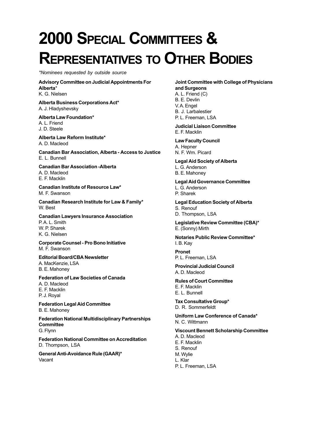# **2000 SPECIAL COMMITTEES & REPRESENTATIVES TO OTHER BODIES**

*\*Nominees requested by outside source*

#### **Advisory Committee on Judicial Appointments For Alberta**\*

K. G. Nielsen

**Alberta Business Corporations Act\*** A. J. Hladyshevsky

#### **Alberta Law Foundation\*** A. L. Friend J. D. Steele

**Alberta Law Reform Institute\*** A. D. Macleod

**Canadian Bar Association, Alberta - Access to Justice** E. L. Bunnell

**Canadian Bar Association -Alberta** A. D. Macleod E. F. Macklin

**Canadian Institute of Resource Law\*** M. F. Swanson

**Canadian Research Institute for Law & Family\*** W. Best

**Canadian Lawyers Insurance Association** P. A. L. Smith W. P. Sharek K. G. Nielsen

**Corporate Counsel - Pro Bono Initiative** M. F. Swanson

**Editorial Board/CBA Newsletter** A. MacKenzie, LSA B. E. Mahoney

**Federation of Law Societies of Canada** A. D. Macleod E. F. Macklin

P. J. Royal

**Federation Legal Aid Committee** B. E. Mahoney

**Federation National Multidisciplinary Partnerships Committee** G. Flynn

**Federation National Committee on Accreditation** D. Thompson, LSA

**General Anti-Avoidance Rule (GAAR)\*** Vacant

#### **Joint Committee with College of Physicians**

**and Surgeons** A. L. Friend (C) B. E. Devlin V. A. Engel B. J. Larbalestier P. L. Freeman, LSA

**Judicial Liaison Committee** E. F. Macklin

**Law Faculty Council**

A. Hepner N. F. Wm. Picard

**Legal Aid Society of Alberta**

L. G. Anderson B. E. Mahoney

**Legal Aid Governance Committee** L. G. Anderson P. Sharek

**Legal Education Society of Alberta** S. Renouf D. Thompson, LSA

**Legislative Review Committee (CBA)\*** E. (Sonny) Mirth

**Notaries Public Review Committee\*** I. B. Kay

**Pronet** P. L. Freeman, LSA

**Provincial Judicial Council** A. D. Macleod

**Rules of Court Committee** E. F. Macklin

E. L. Bunnell

**Tax Consultative Group\*** D. R. Sommerfeldt

**Uniform Law Conference of Canada\*** N. C. Wittmann

#### **Viscount Bennett Scholarship Committee**

A. D. Macleod E. F. Macklin S. Renouf M. Wylie L. Klar P. L. Freeman, LSA